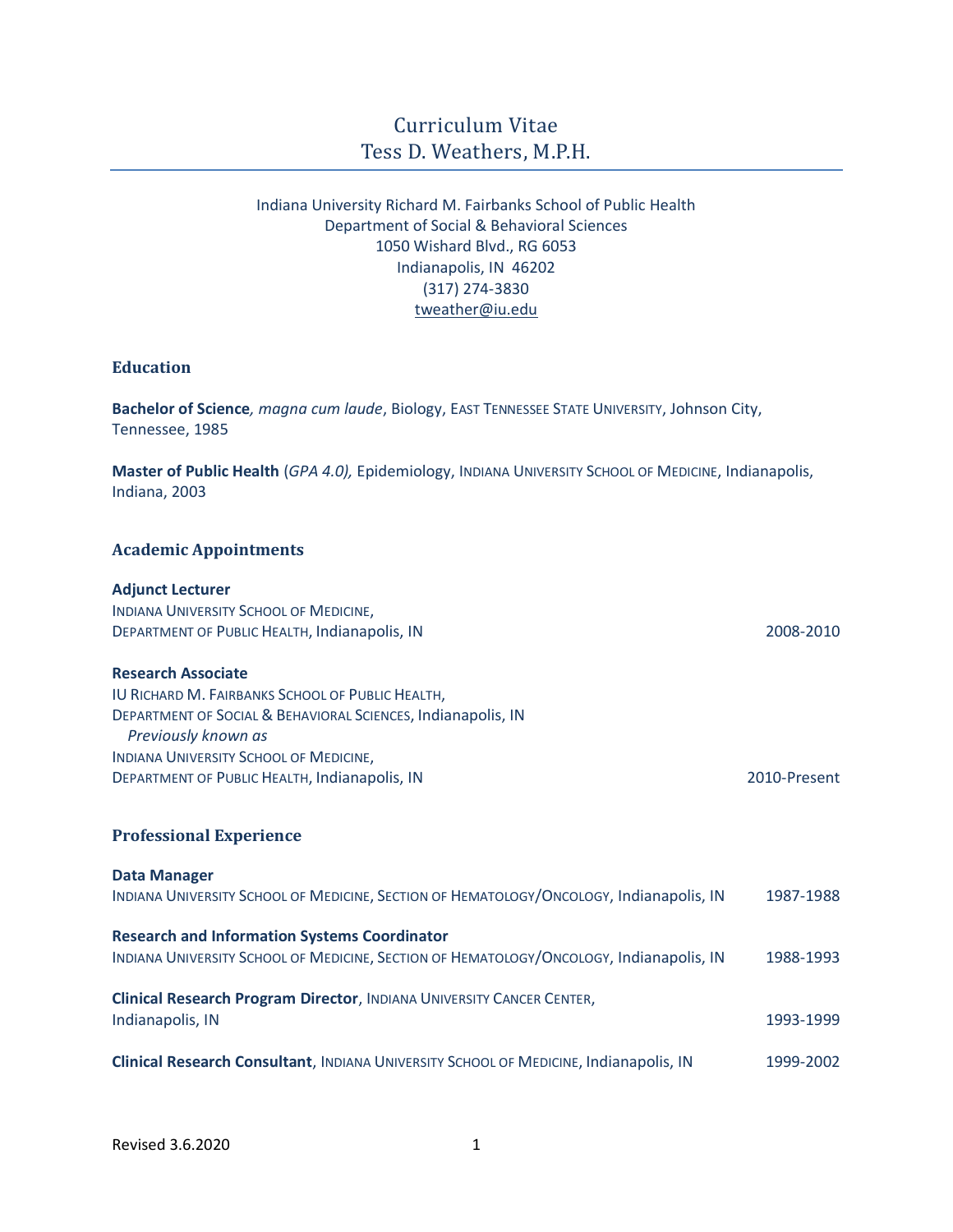# Curriculum Vitae Tess D. Weathers, M.P.H.

# Indiana University Richard M. Fairbanks School of Public Health Department of Social & Behavioral Sciences 1050 Wishard Blvd., RG 6053 Indianapolis, IN 46202 (317) 274-3830 [tweather@iu.edu](mailto:tweather@iu.edu)

### **Education**

**Bachelor of Science***, magna cum laude*, Biology, EAST TENNESSEE STATE UNIVERSITY, Johnson City, Tennessee, 1985

**Master of Public Health** (*GPA 4.0),* Epidemiology, INDIANA UNIVERSITY SCHOOL OF MEDICINE, Indianapolis, Indiana, 2003

### **Academic Appointments**

| <b>Adjunct Lecturer</b><br>INDIANA UNIVERSITY SCHOOL OF MEDICINE,<br>DEPARTMENT OF PUBLIC HEALTH, Indianapolis, IN                             | 2008-2010    |
|------------------------------------------------------------------------------------------------------------------------------------------------|--------------|
| <b>Research Associate</b>                                                                                                                      |              |
| IU RICHARD M. FAIRBANKS SCHOOL OF PUBLIC HEALTH,<br>DEPARTMENT OF SOCIAL & BEHAVIORAL SCIENCES, Indianapolis, IN                               |              |
| Previously known as                                                                                                                            |              |
| INDIANA UNIVERSITY SCHOOL OF MEDICINE,                                                                                                         |              |
| DEPARTMENT OF PUBLIC HEALTH, Indianapolis, IN                                                                                                  | 2010-Present |
| <b>Professional Experience</b><br><b>Data Manager</b>                                                                                          |              |
| INDIANA UNIVERSITY SCHOOL OF MEDICINE, SECTION OF HEMATOLOGY/ONCOLOGY, Indianapolis, IN                                                        | 1987-1988    |
| <b>Research and Information Systems Coordinator</b><br>INDIANA UNIVERSITY SCHOOL OF MEDICINE, SECTION OF HEMATOLOGY/ONCOLOGY, Indianapolis, IN | 1988-1993    |
| <b>Clinical Research Program Director, INDIANA UNIVERSITY CANCER CENTER,</b><br>Indianapolis, IN                                               | 1993-1999    |
| <b>Clinical Research Consultant</b> , INDIANA UNIVERSITY SCHOOL OF MEDICINE, Indianapolis, IN                                                  | 1999-2002    |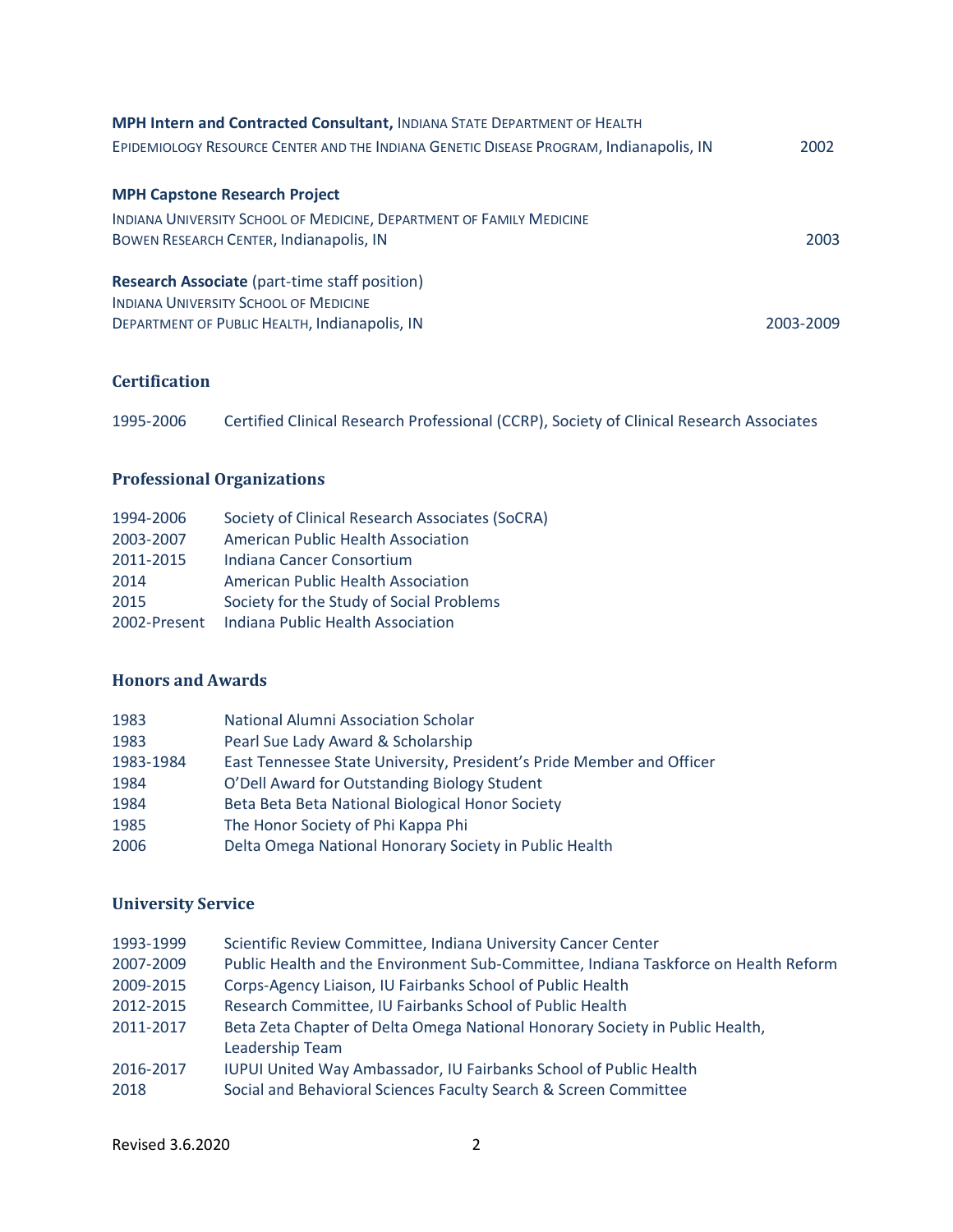| <b>MPH Intern and Contracted Consultant, INDIANA STATE DEPARTMENT OF HEALTH</b>        |           |
|----------------------------------------------------------------------------------------|-----------|
| EPIDEMIOLOGY RESOURCE CENTER AND THE INDIANA GENETIC DISEASE PROGRAM, Indianapolis, IN | 2002      |
| <b>MPH Capstone Research Project</b>                                                   |           |
| INDIANA UNIVERSITY SCHOOL OF MEDICINE, DEPARTMENT OF FAMILY MEDICINE                   |           |
| BOWEN RESEARCH CENTER, Indianapolis, IN                                                | 2003      |
| <b>Research Associate</b> (part-time staff position)                                   |           |
| INDIANA UNIVERSITY SCHOOL OF MEDICINE                                                  |           |
| <b>DEPARTMENT OF PUBLIC HEALTH, Indianapolis, IN</b>                                   | 2003-2009 |

# **Certification**

1995-2006 Certified Clinical Research Professional (CCRP), Society of Clinical Research Associates

# **Professional Organizations**

| 1994-2006    | Society of Clinical Research Associates (SoCRA) |
|--------------|-------------------------------------------------|
| 2003-2007    | American Public Health Association              |
| 2011-2015    | Indiana Cancer Consortium                       |
| 2014         | <b>American Public Health Association</b>       |
| 2015         | Society for the Study of Social Problems        |
| 2002-Present | <b>Indiana Public Health Association</b>        |

# **Honors and Awards**

| 1983      | National Alumni Association Scholar                                   |
|-----------|-----------------------------------------------------------------------|
| 1983      | Pearl Sue Lady Award & Scholarship                                    |
| 1983-1984 | East Tennessee State University, President's Pride Member and Officer |
| 1984      | O'Dell Award for Outstanding Biology Student                          |
| 1984      | Beta Beta Beta National Biological Honor Society                      |
| 1985      | The Honor Society of Phi Kappa Phi                                    |
| 2006      | Delta Omega National Honorary Society in Public Health                |

# **University Service**

| 1993-1999 | Scientific Review Committee, Indiana University Cancer Center                       |
|-----------|-------------------------------------------------------------------------------------|
| 2007-2009 | Public Health and the Environment Sub-Committee, Indiana Taskforce on Health Reform |
| 2009-2015 | Corps-Agency Liaison, IU Fairbanks School of Public Health                          |
| 2012-2015 | Research Committee, IU Fairbanks School of Public Health                            |
| 2011-2017 | Beta Zeta Chapter of Delta Omega National Honorary Society in Public Health,        |
|           | Leadership Team                                                                     |
| 2016-2017 | IUPUI United Way Ambassador, IU Fairbanks School of Public Health                   |
| 2018      | Social and Behavioral Sciences Faculty Search & Screen Committee                    |

Revised 3.6.2020 2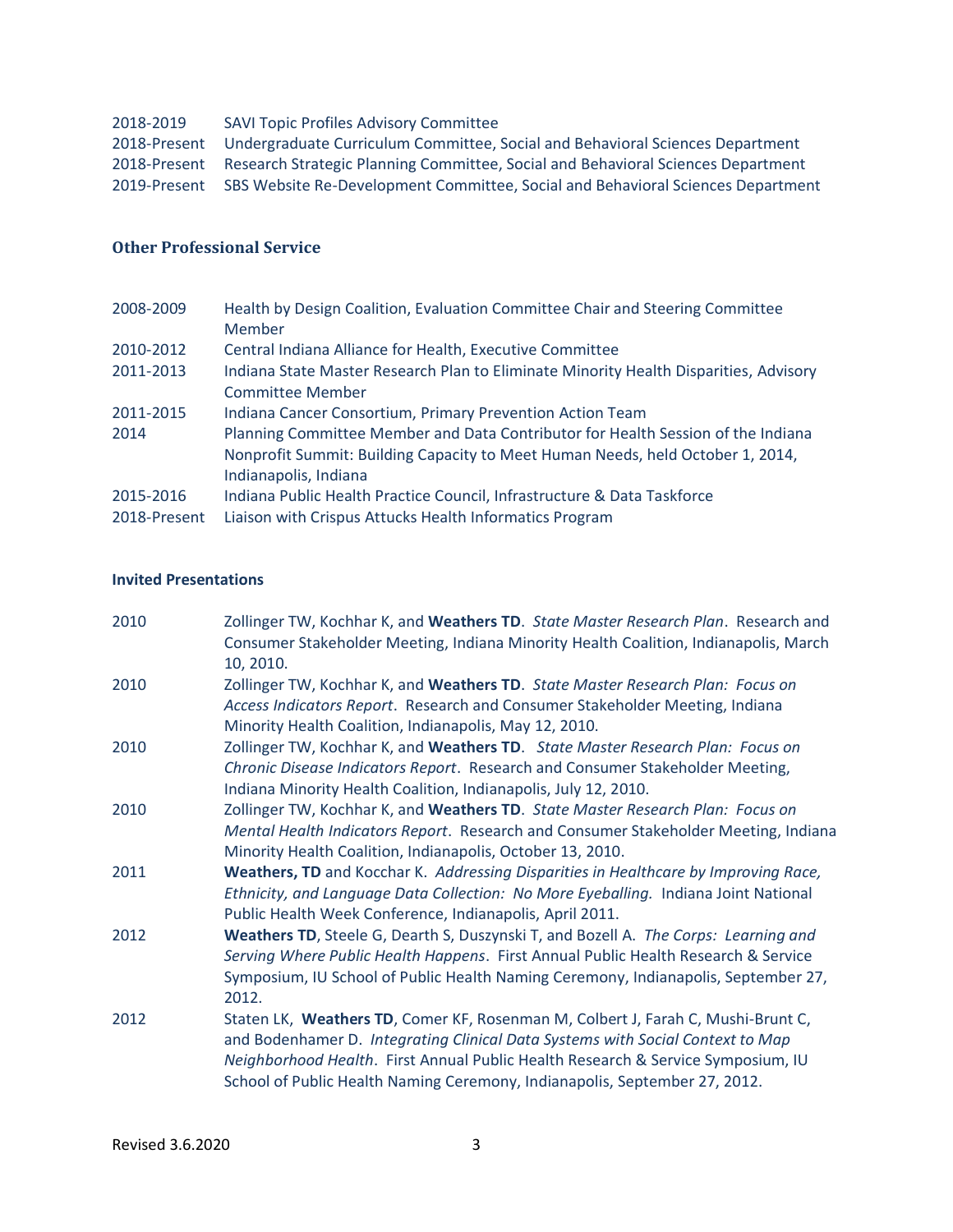### 2018-2019 SAVI Topic Profiles Advisory Committee

2018-Present Undergraduate Curriculum Committee, Social and Behavioral Sciences Department 2018-Present Research Strategic Planning Committee, Social and Behavioral Sciences Department 2019-Present SBS Website Re-Development Committee, Social and Behavioral Sciences Department

# **Other Professional Service**

| 2008-2009    | Health by Design Coalition, Evaluation Committee Chair and Steering Committee         |
|--------------|---------------------------------------------------------------------------------------|
|              | Member                                                                                |
| 2010-2012    | Central Indiana Alliance for Health, Executive Committee                              |
| 2011-2013    | Indiana State Master Research Plan to Eliminate Minority Health Disparities, Advisory |
|              | <b>Committee Member</b>                                                               |
| 2011-2015    | Indiana Cancer Consortium, Primary Prevention Action Team                             |
| 2014         | Planning Committee Member and Data Contributor for Health Session of the Indiana      |
|              | Nonprofit Summit: Building Capacity to Meet Human Needs, held October 1, 2014,        |
|              | Indianapolis, Indiana                                                                 |
| 2015-2016    | Indiana Public Health Practice Council, Infrastructure & Data Taskforce               |
| 2018-Present | Liaison with Crispus Attucks Health Informatics Program                               |

### **Invited Presentations**

| 2010 | Zollinger TW, Kochhar K, and Weathers TD. State Master Research Plan. Research and   |
|------|--------------------------------------------------------------------------------------|
|      | Consumer Stakeholder Meeting, Indiana Minority Health Coalition, Indianapolis, March |
|      | 10, 2010.                                                                            |
| 2010 | Zollinger TW, Kochhar K, and Weathers TD. State Master Research Plan: Focus on       |
|      | Access Indicators Report. Research and Consumer Stakeholder Meeting, Indiana         |
|      | Minority Health Coalition, Indianapolis, May 12, 2010.                               |
| 2010 | Zollinger TW, Kochhar K, and Weathers TD. State Master Research Plan: Focus on       |
|      | Chronic Disease Indicators Report. Research and Consumer Stakeholder Meeting,        |
|      | Indiana Minority Health Coalition, Indianapolis, July 12, 2010.                      |
| 2010 | Zollinger TW, Kochhar K, and Weathers TD. State Master Research Plan: Focus on       |
|      | Mental Health Indicators Report. Research and Consumer Stakeholder Meeting, Indiana  |
|      | Minority Health Coalition, Indianapolis, October 13, 2010.                           |
| 2011 | Weathers, TD and Kocchar K. Addressing Disparities in Healthcare by Improving Race,  |
|      | Ethnicity, and Language Data Collection: No More Eyeballing. Indiana Joint National  |
|      | Public Health Week Conference, Indianapolis, April 2011.                             |
| 2012 | Weathers TD, Steele G, Dearth S, Duszynski T, and Bozell A. The Corps: Learning and  |
|      | Serving Where Public Health Happens. First Annual Public Health Research & Service   |
|      | Symposium, IU School of Public Health Naming Ceremony, Indianapolis, September 27,   |
|      | 2012.                                                                                |
| 2012 | Staten LK, Weathers TD, Comer KF, Rosenman M, Colbert J, Farah C, Mushi-Brunt C,     |
|      | and Bodenhamer D. Integrating Clinical Data Systems with Social Context to Map       |
|      | Neighborhood Health. First Annual Public Health Research & Service Symposium, IU     |
|      | School of Public Health Naming Ceremony, Indianapolis, September 27, 2012.           |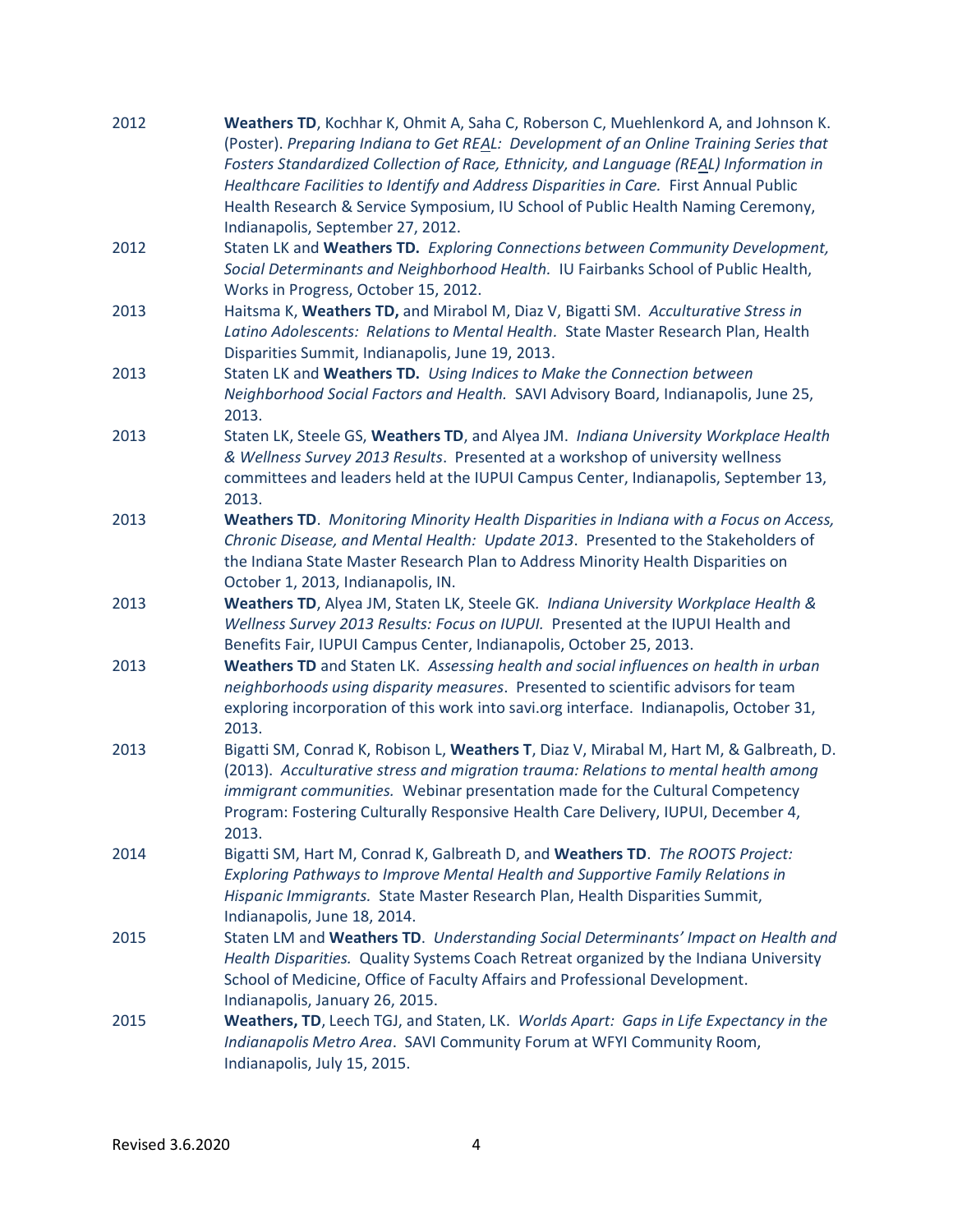| 2012 | Weathers TD, Kochhar K, Ohmit A, Saha C, Roberson C, Muehlenkord A, and Johnson K.<br>(Poster). Preparing Indiana to Get REAL: Development of an Online Training Series that<br>Fosters Standardized Collection of Race, Ethnicity, and Language (REAL) Information in<br>Healthcare Facilities to Identify and Address Disparities in Care. First Annual Public<br>Health Research & Service Symposium, IU School of Public Health Naming Ceremony, |
|------|------------------------------------------------------------------------------------------------------------------------------------------------------------------------------------------------------------------------------------------------------------------------------------------------------------------------------------------------------------------------------------------------------------------------------------------------------|
|      | Indianapolis, September 27, 2012.                                                                                                                                                                                                                                                                                                                                                                                                                    |
| 2012 | Staten LK and Weathers TD. Exploring Connections between Community Development,<br>Social Determinants and Neighborhood Health. IU Fairbanks School of Public Health,<br>Works in Progress, October 15, 2012.                                                                                                                                                                                                                                        |
| 2013 | Haitsma K, Weathers TD, and Mirabol M, Diaz V, Bigatti SM. Acculturative Stress in<br>Latino Adolescents: Relations to Mental Health. State Master Research Plan, Health<br>Disparities Summit, Indianapolis, June 19, 2013.                                                                                                                                                                                                                         |
| 2013 | Staten LK and Weathers TD. Using Indices to Make the Connection between<br>Neighborhood Social Factors and Health. SAVI Advisory Board, Indianapolis, June 25,<br>2013.                                                                                                                                                                                                                                                                              |
| 2013 | Staten LK, Steele GS, Weathers TD, and Alyea JM. Indiana University Workplace Health<br>& Wellness Survey 2013 Results. Presented at a workshop of university wellness<br>committees and leaders held at the IUPUI Campus Center, Indianapolis, September 13,<br>2013.                                                                                                                                                                               |
| 2013 | Weathers TD. Monitoring Minority Health Disparities in Indiana with a Focus on Access,<br>Chronic Disease, and Mental Health: Update 2013. Presented to the Stakeholders of<br>the Indiana State Master Research Plan to Address Minority Health Disparities on<br>October 1, 2013, Indianapolis, IN.                                                                                                                                                |
| 2013 | Weathers TD, Alyea JM, Staten LK, Steele GK. Indiana University Workplace Health &<br>Wellness Survey 2013 Results: Focus on IUPUI. Presented at the IUPUI Health and<br>Benefits Fair, IUPUI Campus Center, Indianapolis, October 25, 2013.                                                                                                                                                                                                         |
| 2013 | Weathers TD and Staten LK. Assessing health and social influences on health in urban<br>neighborhoods using disparity measures. Presented to scientific advisors for team<br>exploring incorporation of this work into savi.org interface. Indianapolis, October 31,<br>2013.                                                                                                                                                                        |
| 2013 | Bigatti SM, Conrad K, Robison L, Weathers T, Diaz V, Mirabal M, Hart M, & Galbreath, D.<br>(2013). Acculturative stress and migration trauma: Relations to mental health among<br>immigrant communities. Webinar presentation made for the Cultural Competency<br>Program: Fostering Culturally Responsive Health Care Delivery, IUPUI, December 4,<br>2013.                                                                                         |
| 2014 | Bigatti SM, Hart M, Conrad K, Galbreath D, and Weathers TD. The ROOTS Project:<br>Exploring Pathways to Improve Mental Health and Supportive Family Relations in<br>Hispanic Immigrants. State Master Research Plan, Health Disparities Summit,<br>Indianapolis, June 18, 2014.                                                                                                                                                                      |
| 2015 | Staten LM and Weathers TD. Understanding Social Determinants' Impact on Health and<br>Health Disparities. Quality Systems Coach Retreat organized by the Indiana University<br>School of Medicine, Office of Faculty Affairs and Professional Development.<br>Indianapolis, January 26, 2015.                                                                                                                                                        |
| 2015 | Weathers, TD, Leech TGJ, and Staten, LK. Worlds Apart: Gaps in Life Expectancy in the<br>Indianapolis Metro Area. SAVI Community Forum at WFYI Community Room,<br>Indianapolis, July 15, 2015.                                                                                                                                                                                                                                                       |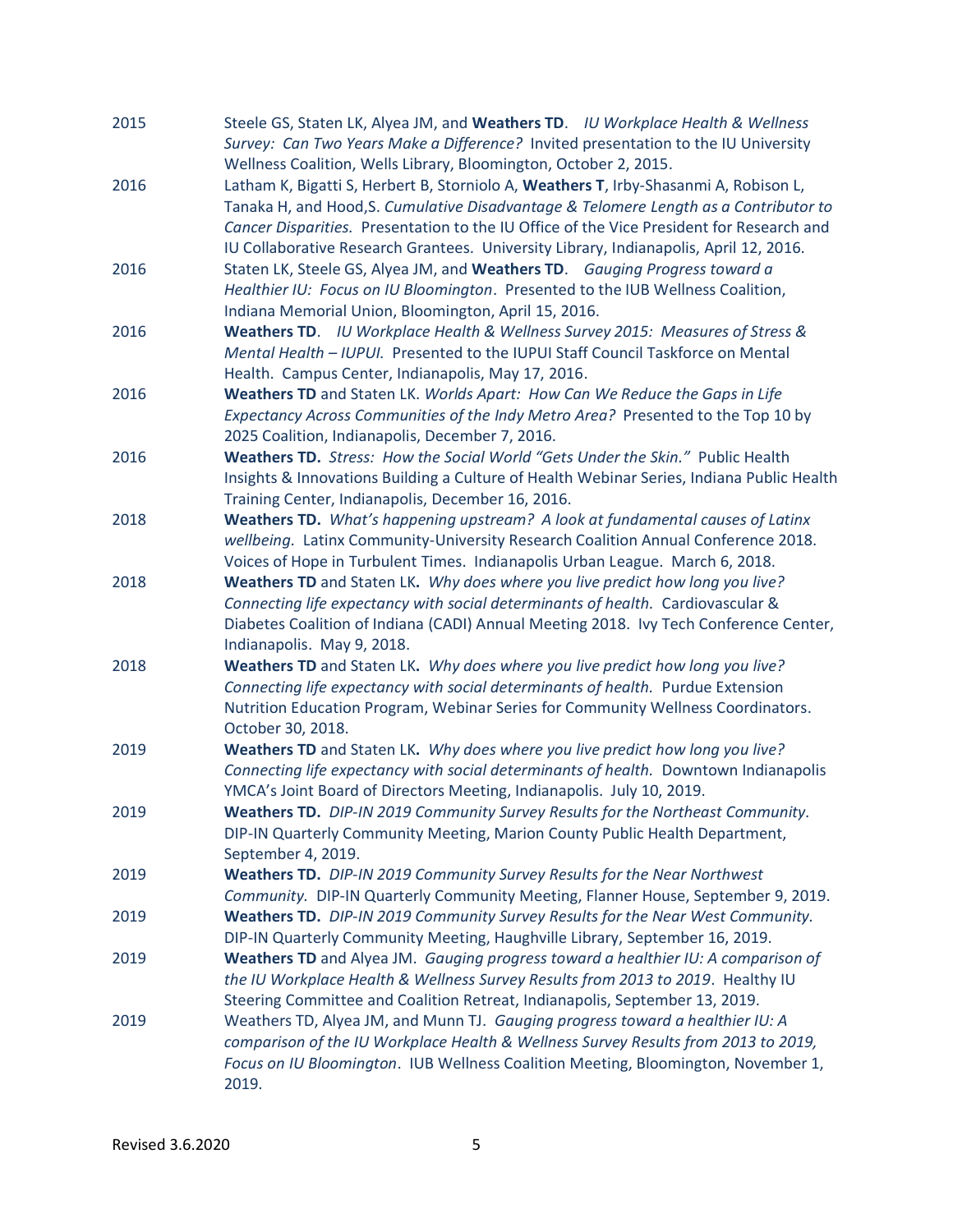| 2015 | Steele GS, Staten LK, Alyea JM, and Weathers TD. IU Workplace Health & Wellness           |
|------|-------------------------------------------------------------------------------------------|
|      | Survey: Can Two Years Make a Difference? Invited presentation to the IU University        |
|      | Wellness Coalition, Wells Library, Bloomington, October 2, 2015.                          |
| 2016 | Latham K, Bigatti S, Herbert B, Storniolo A, Weathers T, Irby-Shasanmi A, Robison L,      |
|      | Tanaka H, and Hood, S. Cumulative Disadvantage & Telomere Length as a Contributor to      |
|      | Cancer Disparities. Presentation to the IU Office of the Vice President for Research and  |
|      | IU Collaborative Research Grantees. University Library, Indianapolis, April 12, 2016.     |
| 2016 | Staten LK, Steele GS, Alyea JM, and Weathers TD. Gauging Progress toward a                |
|      | Healthier IU: Focus on IU Bloomington. Presented to the IUB Wellness Coalition,           |
|      | Indiana Memorial Union, Bloomington, April 15, 2016.                                      |
| 2016 | Weathers TD. IU Workplace Health & Wellness Survey 2015: Measures of Stress &             |
|      | Mental Health - IUPUI. Presented to the IUPUI Staff Council Taskforce on Mental           |
|      | Health. Campus Center, Indianapolis, May 17, 2016.                                        |
| 2016 | Weathers TD and Staten LK. Worlds Apart: How Can We Reduce the Gaps in Life               |
|      | Expectancy Across Communities of the Indy Metro Area? Presented to the Top 10 by          |
|      | 2025 Coalition, Indianapolis, December 7, 2016.                                           |
| 2016 | Weathers TD. Stress: How the Social World "Gets Under the Skin." Public Health            |
|      | Insights & Innovations Building a Culture of Health Webinar Series, Indiana Public Health |
|      | Training Center, Indianapolis, December 16, 2016.                                         |
| 2018 | Weathers TD. What's happening upstream? A look at fundamental causes of Latinx            |
|      | wellbeing. Latinx Community-University Research Coalition Annual Conference 2018.         |
|      | Voices of Hope in Turbulent Times. Indianapolis Urban League. March 6, 2018.              |
| 2018 | Weathers TD and Staten LK. Why does where you live predict how long you live?             |
|      | Connecting life expectancy with social determinants of health. Cardiovascular &           |
|      | Diabetes Coalition of Indiana (CADI) Annual Meeting 2018. Ivy Tech Conference Center,     |
|      | Indianapolis. May 9, 2018.                                                                |
| 2018 | Weathers TD and Staten LK. Why does where you live predict how long you live?             |
|      | Connecting life expectancy with social determinants of health. Purdue Extension           |
|      | Nutrition Education Program, Webinar Series for Community Wellness Coordinators.          |
|      | October 30, 2018.                                                                         |
| 2019 | Weathers TD and Staten LK. Why does where you live predict how long you live?             |
|      | Connecting life expectancy with social determinants of health. Downtown Indianapolis      |
|      | YMCA's Joint Board of Directors Meeting, Indianapolis. July 10, 2019.                     |
| 2019 | Weathers TD. DIP-IN 2019 Community Survey Results for the Northeast Community.            |
|      | DIP-IN Quarterly Community Meeting, Marion County Public Health Department,               |
|      | September 4, 2019.                                                                        |
| 2019 | Weathers TD. DIP-IN 2019 Community Survey Results for the Near Northwest                  |
|      | Community. DIP-IN Quarterly Community Meeting, Flanner House, September 9, 2019.          |
| 2019 | Weathers TD. DIP-IN 2019 Community Survey Results for the Near West Community.            |
|      | DIP-IN Quarterly Community Meeting, Haughville Library, September 16, 2019.               |
| 2019 | Weathers TD and Alyea JM. Gauging progress toward a healthier IU: A comparison of         |
|      | the IU Workplace Health & Wellness Survey Results from 2013 to 2019. Healthy IU           |
|      | Steering Committee and Coalition Retreat, Indianapolis, September 13, 2019.               |
| 2019 | Weathers TD, Alyea JM, and Munn TJ. Gauging progress toward a healthier IU: A             |
|      | comparison of the IU Workplace Health & Wellness Survey Results from 2013 to 2019,        |
|      | Focus on IU Bloomington. IUB Wellness Coalition Meeting, Bloomington, November 1,         |
|      | 2019.                                                                                     |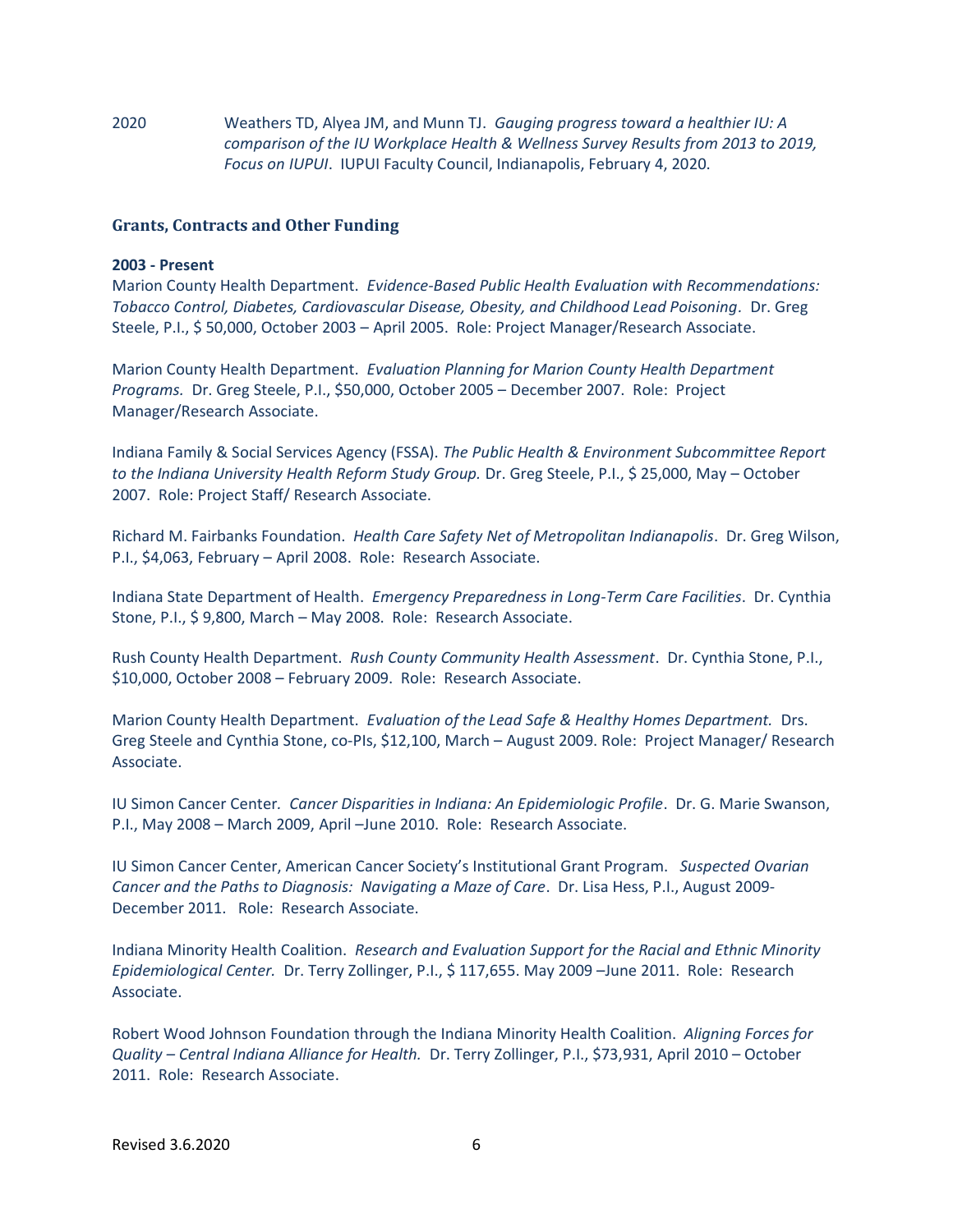2020 Weathers TD, Alyea JM, and Munn TJ. *Gauging progress toward a healthier IU: A comparison of the IU Workplace Health & Wellness Survey Results from 2013 to 2019, Focus on IUPUI*. IUPUI Faculty Council, Indianapolis, February 4, 2020.

### **Grants, Contracts and Other Funding**

#### **2003 - Present**

Marion County Health Department. *Evidence-Based Public Health Evaluation with Recommendations: Tobacco Control, Diabetes, Cardiovascular Disease, Obesity, and Childhood Lead Poisoning.* Dr. Greg Steele, P.I., \$ 50,000, October 2003 – April 2005. Role: Project Manager/Research Associate.

Marion County Health Department. *Evaluation Planning for Marion County Health Department Programs.* Dr. Greg Steele, P.I., \$50,000, October 2005 – December 2007. Role: Project Manager/Research Associate.

Indiana Family & Social Services Agency (FSSA). *The Public Health & Environment Subcommittee Report to the Indiana University Health Reform Study Group.* Dr. Greg Steele, P.I., \$ 25,000, May – October 2007. Role: Project Staff/ Research Associate.

Richard M. Fairbanks Foundation. *Health Care Safety Net of Metropolitan Indianapolis*. Dr. Greg Wilson, P.I., \$4,063, February – April 2008. Role: Research Associate.

Indiana State Department of Health. *Emergency Preparedness in Long-Term Care Facilities*. Dr. Cynthia Stone, P.I., \$ 9,800, March – May 2008. Role: Research Associate.

Rush County Health Department. *Rush County Community Health Assessment*. Dr. Cynthia Stone, P.I., \$10,000, October 2008 – February 2009. Role: Research Associate.

Marion County Health Department. *Evaluation of the Lead Safe & Healthy Homes Department.* Drs. Greg Steele and Cynthia Stone, co-PIs, \$12,100, March – August 2009. Role: Project Manager/ Research Associate.

IU Simon Cancer Center*. Cancer Disparities in Indiana: An Epidemiologic Profile*. Dr. G. Marie Swanson, P.I., May 2008 – March 2009, April –June 2010. Role: Research Associate.

IU Simon Cancer Center, American Cancer Society's Institutional Grant Program. *Suspected Ovarian Cancer and the Paths to Diagnosis: Navigating a Maze of Care*. Dr. Lisa Hess, P.I., August 2009- December 2011. Role: Research Associate.

Indiana Minority Health Coalition. *Research and Evaluation Support for the Racial and Ethnic Minority Epidemiological Center.* Dr. Terry Zollinger, P.I., \$ 117,655. May 2009 –June 2011. Role: Research Associate.

Robert Wood Johnson Foundation through the Indiana Minority Health Coalition. *Aligning Forces for Quality – Central Indiana Alliance for Health.* Dr. Terry Zollinger, P.I., \$73,931, April 2010 – October 2011. Role: Research Associate.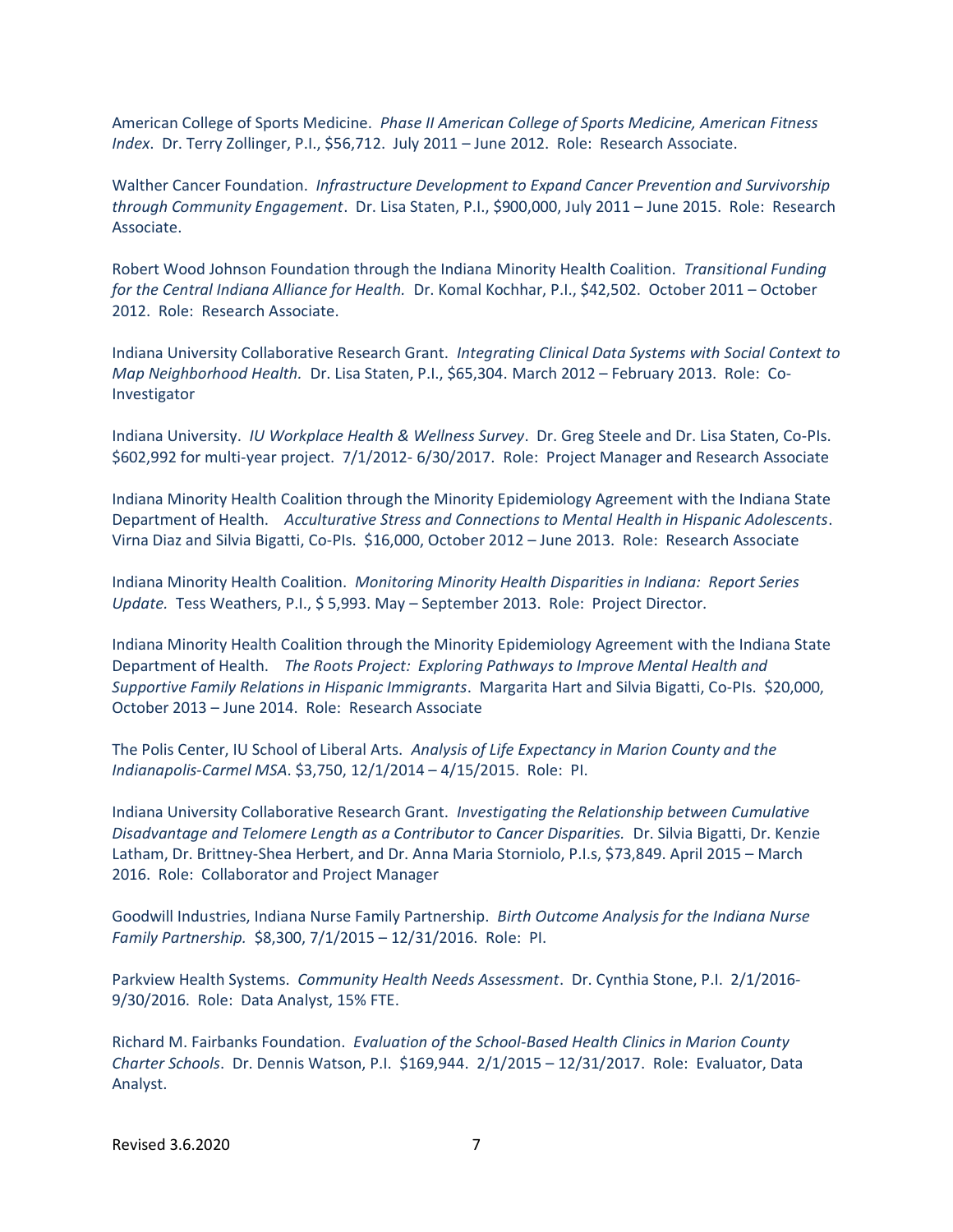American College of Sports Medicine. *Phase II American College of Sports Medicine, American Fitness Index*. Dr. Terry Zollinger, P.I., \$56,712. July 2011 – June 2012. Role: Research Associate.

Walther Cancer Foundation. *Infrastructure Development to Expand Cancer Prevention and Survivorship through Community Engagement*. Dr. Lisa Staten, P.I., \$900,000, July 2011 – June 2015. Role: Research Associate.

Robert Wood Johnson Foundation through the Indiana Minority Health Coalition. *Transitional Funding for the Central Indiana Alliance for Health.* Dr. Komal Kochhar, P.I., \$42,502. October 2011 – October 2012. Role: Research Associate.

Indiana University Collaborative Research Grant. *Integrating Clinical Data Systems with Social Context to Map Neighborhood Health.* Dr. Lisa Staten, P.I., \$65,304. March 2012 – February 2013. Role: Co-Investigator

Indiana University. *IU Workplace Health & Wellness Survey*. Dr. Greg Steele and Dr. Lisa Staten, Co-PIs. \$602,992 for multi-year project. 7/1/2012- 6/30/2017. Role: Project Manager and Research Associate

Indiana Minority Health Coalition through the Minority Epidemiology Agreement with the Indiana State Department of Health. *Acculturative Stress and Connections to Mental Health in Hispanic Adolescents*. Virna Diaz and Silvia Bigatti, Co-PIs. \$16,000, October 2012 – June 2013. Role: Research Associate

Indiana Minority Health Coalition. *Monitoring Minority Health Disparities in Indiana: Report Series Update.* Tess Weathers, P.I., \$ 5,993. May – September 2013. Role: Project Director.

Indiana Minority Health Coalition through the Minority Epidemiology Agreement with the Indiana State Department of Health. *The Roots Project: Exploring Pathways to Improve Mental Health and Supportive Family Relations in Hispanic Immigrants*. Margarita Hart and Silvia Bigatti, Co-PIs. \$20,000, October 2013 – June 2014. Role: Research Associate

The Polis Center, IU School of Liberal Arts. *Analysis of Life Expectancy in Marion County and the Indianapolis-Carmel MSA*. \$3,750, 12/1/2014 – 4/15/2015. Role: PI.

Indiana University Collaborative Research Grant. *Investigating the Relationship between Cumulative Disadvantage and Telomere Length as a Contributor to Cancer Disparities.* Dr. Silvia Bigatti, Dr. Kenzie Latham, Dr. Brittney-Shea Herbert, and Dr. Anna Maria Storniolo, P.I.s, \$73,849. April 2015 – March 2016. Role: Collaborator and Project Manager

Goodwill Industries, Indiana Nurse Family Partnership. *Birth Outcome Analysis for the Indiana Nurse Family Partnership.* \$8,300, 7/1/2015 – 12/31/2016. Role: PI.

Parkview Health Systems. *Community Health Needs Assessment*. Dr. Cynthia Stone, P.I. 2/1/2016- 9/30/2016. Role: Data Analyst, 15% FTE.

Richard M. Fairbanks Foundation. *Evaluation of the School-Based Health Clinics in Marion County Charter Schools*. Dr. Dennis Watson, P.I. \$169,944. 2/1/2015 – 12/31/2017. Role: Evaluator, Data Analyst.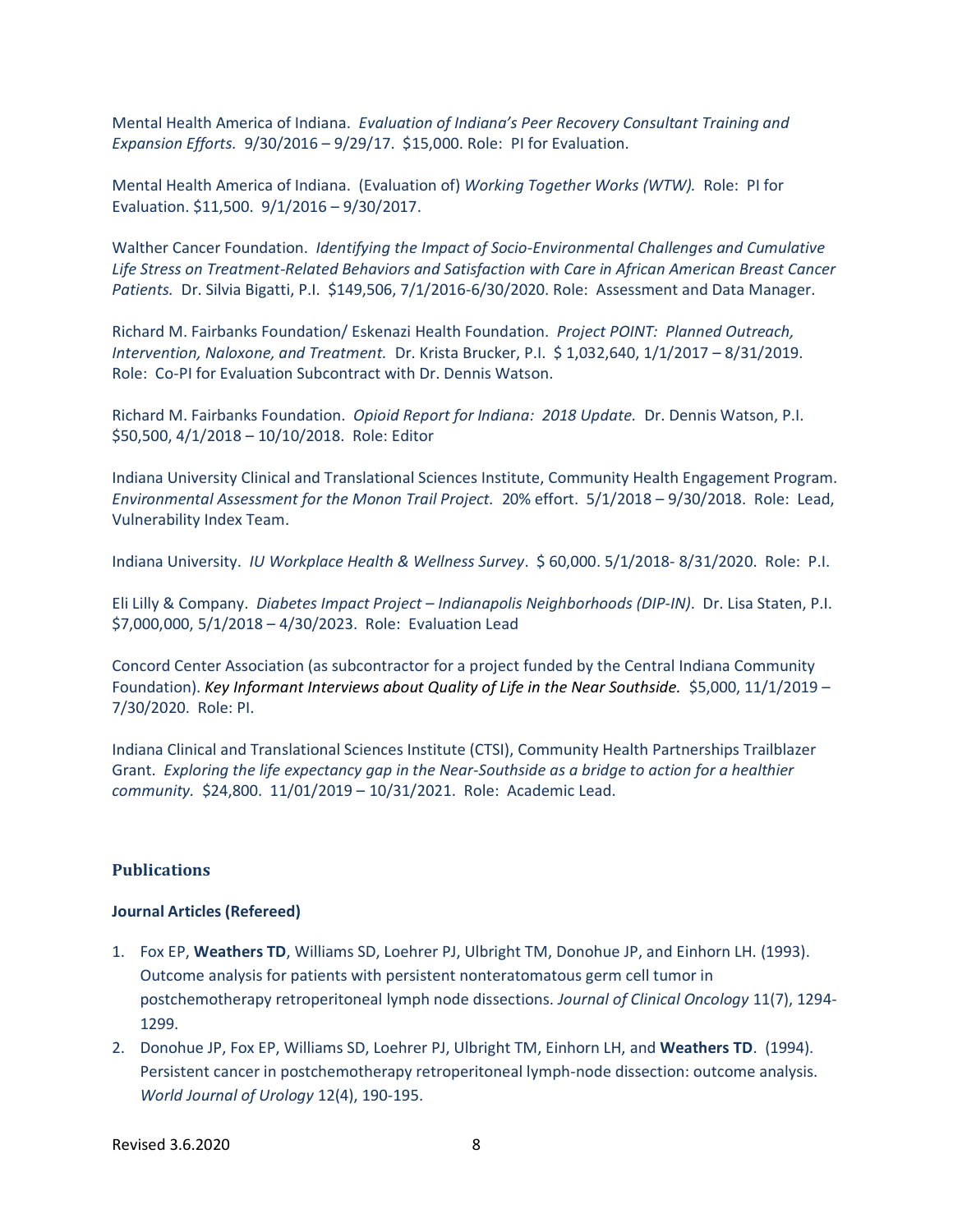Mental Health America of Indiana. *Evaluation of Indiana's Peer Recovery Consultant Training and Expansion Efforts.* 9/30/2016 – 9/29/17. \$15,000. Role: PI for Evaluation.

Mental Health America of Indiana. (Evaluation of) *Working Together Works (WTW).* Role: PI for Evaluation. \$11,500. 9/1/2016 – 9/30/2017.

Walther Cancer Foundation. *Identifying the Impact of Socio-Environmental Challenges and Cumulative Life Stress on Treatment-Related Behaviors and Satisfaction with Care in African American Breast Cancer Patients.* Dr. Silvia Bigatti, P.I. \$149,506, 7/1/2016-6/30/2020. Role: Assessment and Data Manager.

Richard M. Fairbanks Foundation/ Eskenazi Health Foundation. *Project POINT: Planned Outreach, Intervention, Naloxone, and Treatment.* Dr. Krista Brucker, P.I. \$ 1,032,640, 1/1/2017 – 8/31/2019. Role: Co-PI for Evaluation Subcontract with Dr. Dennis Watson.

Richard M. Fairbanks Foundation. *Opioid Report for Indiana: 2018 Update.* Dr. Dennis Watson, P.I. \$50,500, 4/1/2018 – 10/10/2018. Role: Editor

Indiana University Clinical and Translational Sciences Institute, Community Health Engagement Program. *Environmental Assessment for the Monon Trail Project.* 20% effort. 5/1/2018 – 9/30/2018. Role: Lead, Vulnerability Index Team.

Indiana University. *IU Workplace Health & Wellness Survey*. \$ 60,000. 5/1/2018- 8/31/2020. Role: P.I.

Eli Lilly & Company. *Diabetes Impact Project – Indianapolis Neighborhoods (DIP-IN)*. Dr. Lisa Staten, P.I. \$7,000,000, 5/1/2018 – 4/30/2023. Role: Evaluation Lead

Concord Center Association (as subcontractor for a project funded by the Central Indiana Community Foundation). *Key Informant Interviews about Quality of Life in the Near Southside.* \$5,000, 11/1/2019 – 7/30/2020. Role: PI.

Indiana Clinical and Translational Sciences Institute (CTSI), Community Health Partnerships Trailblazer Grant. *Exploring the life expectancy gap in the Near-Southside as a bridge to action for a healthier community.* \$24,800. 11/01/2019 – 10/31/2021. Role: Academic Lead.

#### **Publications**

#### **Journal Articles (Refereed)**

- 1. Fox EP, **Weathers TD**, Williams SD, Loehrer PJ, Ulbright TM, Donohue JP, and Einhorn LH. (1993). Outcome analysis for patients with persistent nonteratomatous germ cell tumor in postchemotherapy retroperitoneal lymph node dissections. *Journal of Clinical Oncology* 11(7), 1294- 1299.
- 2. Donohue JP, Fox EP, Williams SD, Loehrer PJ, Ulbright TM, Einhorn LH, and **Weathers TD**. (1994). Persistent cancer in postchemotherapy retroperitoneal lymph-node dissection: outcome analysis. *World Journal of Urology* 12(4), 190-195.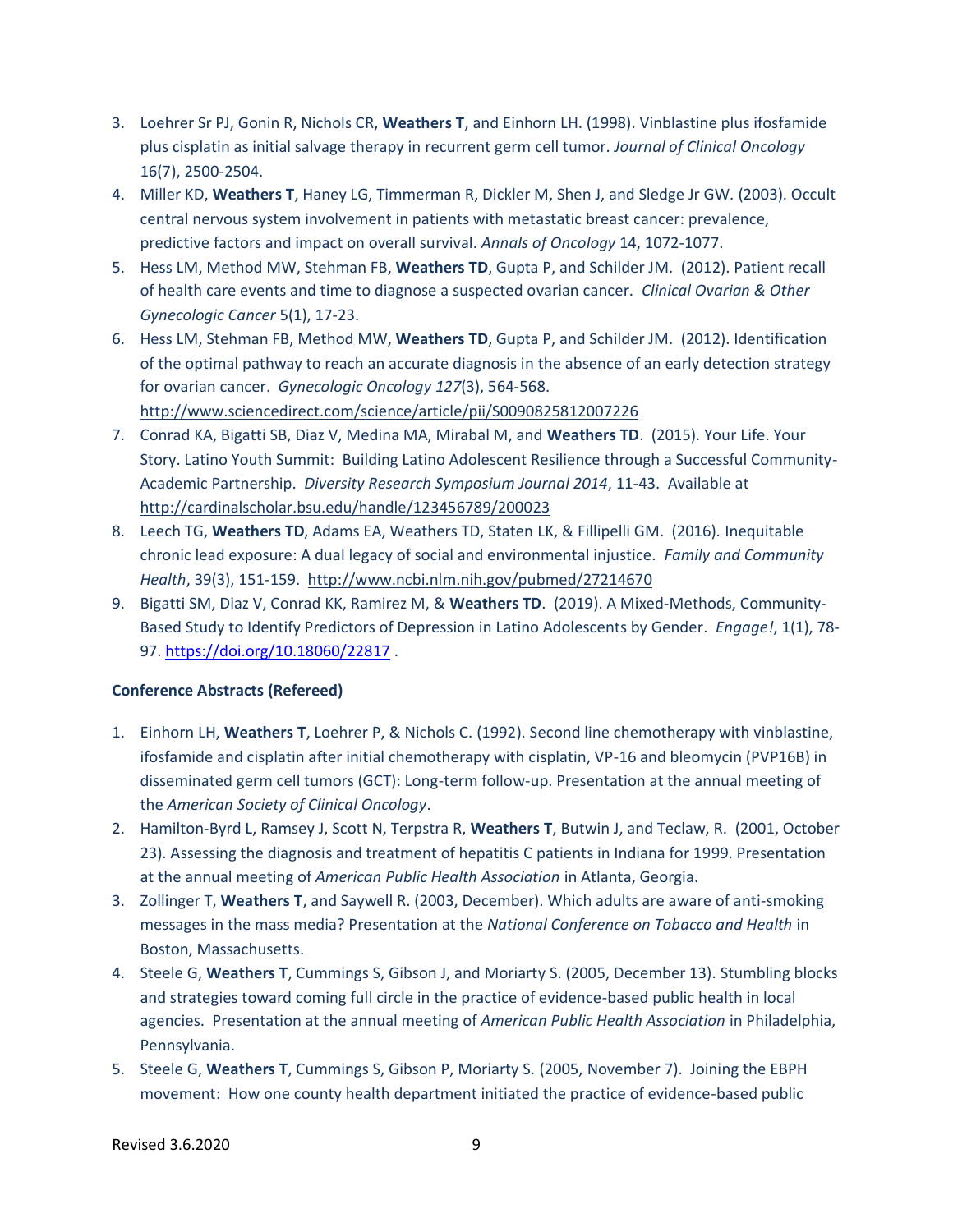- 3. Loehrer Sr PJ, Gonin R, Nichols CR, **Weathers T**, and Einhorn LH. (1998). Vinblastine plus ifosfamide plus cisplatin as initial salvage therapy in recurrent germ cell tumor. *Journal of Clinical Oncology* 16(7), 2500-2504.
- 4. Miller KD, **Weathers T**, Haney LG, Timmerman R, Dickler M, Shen J, and Sledge Jr GW. (2003). Occult central nervous system involvement in patients with metastatic breast cancer: prevalence, predictive factors and impact on overall survival. *Annals of Oncology* 14, 1072-1077.
- 5. Hess LM, Method MW, Stehman FB, **Weathers TD**, Gupta P, and Schilder JM. (2012). Patient recall of health care events and time to diagnose a suspected ovarian cancer. *Clinical Ovarian & Other Gynecologic Cancer* 5(1), 17-23.
- 6. Hess LM, Stehman FB, Method MW, **Weathers TD**, Gupta P, and Schilder JM. (2012). Identification of the optimal pathway to reach an accurate diagnosis in the absence of an early detection strategy for ovarian cancer. *Gynecologic Oncology 127*(3), 564-568. <http://www.sciencedirect.com/science/article/pii/S0090825812007226>

7. Conrad KA, Bigatti SB, Diaz V, Medina MA, Mirabal M, and **Weathers TD**. (2015). Your Life. Your Story. Latino Youth Summit: Building Latino Adolescent Resilience through a Successful Community-

- Academic Partnership. *Diversity Research Symposium Journal 2014*, 11-43. Available at <http://cardinalscholar.bsu.edu/handle/123456789/200023>
- 8. Leech TG, **Weathers TD**, Adams EA, Weathers TD, Staten LK, & Fillipelli GM. (2016). Inequitable chronic lead exposure: A dual legacy of social and environmental injustice. *Family and Community Health*, 39(3), 151-159. <http://www.ncbi.nlm.nih.gov/pubmed/27214670>
- 9. Bigatti SM, Diaz V, Conrad KK, Ramirez M, & **Weathers TD**. (2019). A Mixed-Methods, Community-Based Study to Identify Predictors of Depression in Latino Adolescents by Gender. *Engage!*, 1(1), 78- 97.<https://doi.org/10.18060/22817> .

# **Conference Abstracts (Refereed)**

- 1. Einhorn LH, **Weathers T**, Loehrer P, & Nichols C. (1992). Second line chemotherapy with vinblastine, ifosfamide and cisplatin after initial chemotherapy with cisplatin, VP-16 and bleomycin (PVP16B) in disseminated germ cell tumors (GCT): Long-term follow-up. Presentation at the annual meeting of the *American Society of Clinical Oncology*.
- 2. Hamilton-Byrd L, Ramsey J, Scott N, Terpstra R, **Weathers T**, Butwin J, and Teclaw, R. (2001, October 23). Assessing the diagnosis and treatment of hepatitis C patients in Indiana for 1999. Presentation at the annual meeting of *American Public Health Association* in Atlanta, Georgia.
- 3. Zollinger T, **Weathers T**, and Saywell R. (2003, December). Which adults are aware of anti-smoking messages in the mass media? Presentation at the *National Conference on Tobacco and Health* in Boston, Massachusetts.
- 4. Steele G, **Weathers T**, Cummings S, Gibson J, and Moriarty S. (2005, December 13). Stumbling blocks and strategies toward coming full circle in the practice of evidence-based public health in local agencies. Presentation at the annual meeting of *American Public Health Association* in Philadelphia, Pennsylvania.
- 5. Steele G, **Weathers T**, Cummings S, Gibson P, Moriarty S. (2005, November 7). Joining the EBPH movement: How one county health department initiated the practice of evidence-based public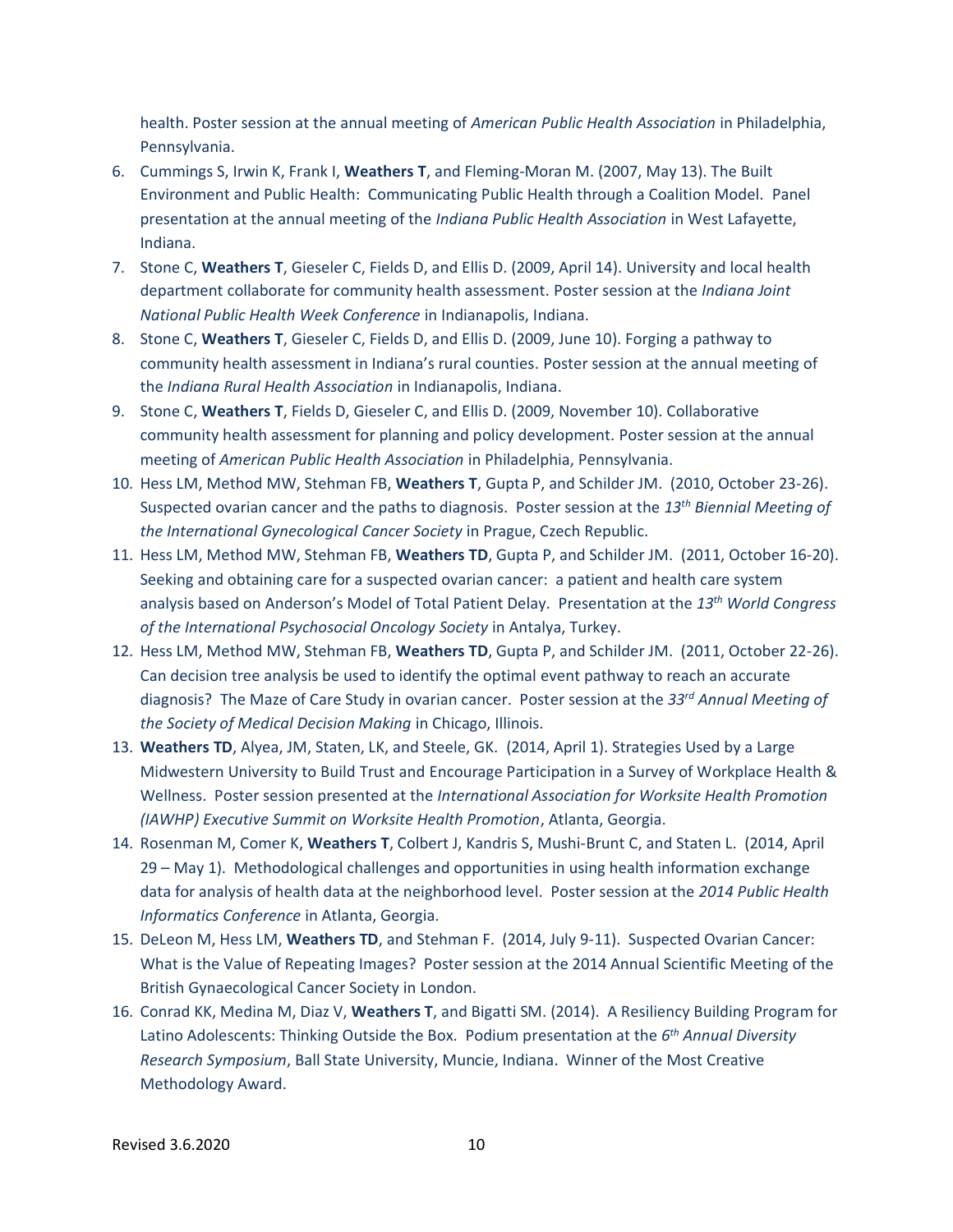health. Poster session at the annual meeting of *American Public Health Association* in Philadelphia, Pennsylvania.

- 6. Cummings S, Irwin K, Frank I, **Weathers T**, and Fleming-Moran M. (2007, May 13). The Built Environment and Public Health: Communicating Public Health through a Coalition Model. Panel presentation at the annual meeting of the *Indiana Public Health Association* in West Lafayette, Indiana.
- 7. Stone C, **Weathers T**, Gieseler C, Fields D, and Ellis D. (2009, April 14). University and local health department collaborate for community health assessment. Poster session at the *Indiana Joint National Public Health Week Conference* in Indianapolis, Indiana.
- 8. Stone C, **Weathers T**, Gieseler C, Fields D, and Ellis D. (2009, June 10). Forging a pathway to community health assessment in Indiana's rural counties. Poster session at the annual meeting of the *Indiana Rural Health Association* in Indianapolis, Indiana.
- 9. Stone C, **Weathers T**, Fields D, Gieseler C, and Ellis D. (2009, November 10). Collaborative community health assessment for planning and policy development. Poster session at the annual meeting of *American Public Health Association* in Philadelphia, Pennsylvania.
- 10. Hess LM, Method MW, Stehman FB, **Weathers T**, Gupta P, and Schilder JM. (2010, October 23-26). Suspected ovarian cancer and the paths to diagnosis. Poster session at the *13th Biennial Meeting of the International Gynecological Cancer Society* in Prague, Czech Republic.
- 11. Hess LM, Method MW, Stehman FB, **Weathers TD**, Gupta P, and Schilder JM. (2011, October 16-20). Seeking and obtaining care for a suspected ovarian cancer: a patient and health care system analysis based on Anderson's Model of Total Patient Delay. Presentation at the *13th World Congress of the International Psychosocial Oncology Society* in Antalya, Turkey.
- 12. Hess LM, Method MW, Stehman FB, **Weathers TD**, Gupta P, and Schilder JM. (2011, October 22-26). Can decision tree analysis be used to identify the optimal event pathway to reach an accurate diagnosis? The Maze of Care Study in ovarian cancer. Poster session at the *33rd Annual Meeting of the Society of Medical Decision Making* in Chicago, Illinois.
- 13. **Weathers TD**, Alyea, JM, Staten, LK, and Steele, GK. (2014, April 1). Strategies Used by a Large Midwestern University to Build Trust and Encourage Participation in a Survey of Workplace Health & Wellness. Poster session presented at the *International Association for Worksite Health Promotion (IAWHP) Executive Summit on Worksite Health Promotion*, Atlanta, Georgia.
- 14. Rosenman M, Comer K, **Weathers T**, Colbert J, Kandris S, Mushi-Brunt C, and Staten L. (2014, April 29 – May 1). Methodological challenges and opportunities in using health information exchange data for analysis of health data at the neighborhood level. Poster session at the *2014 Public Health Informatics Conference* in Atlanta, Georgia.
- 15. DeLeon M, Hess LM, **Weathers TD**, and Stehman F. (2014, July 9-11). Suspected Ovarian Cancer: What is the Value of Repeating Images? Poster session at the 2014 Annual Scientific Meeting of the British Gynaecological Cancer Society in London.
- 16. Conrad KK, Medina M, Diaz V, **Weathers T**, and Bigatti SM. (2014). A Resiliency Building Program for Latino Adolescents: Thinking Outside the Box. Podium presentation at the *6 th Annual Diversity Research Symposium*, Ball State University, Muncie, Indiana. Winner of the Most Creative Methodology Award.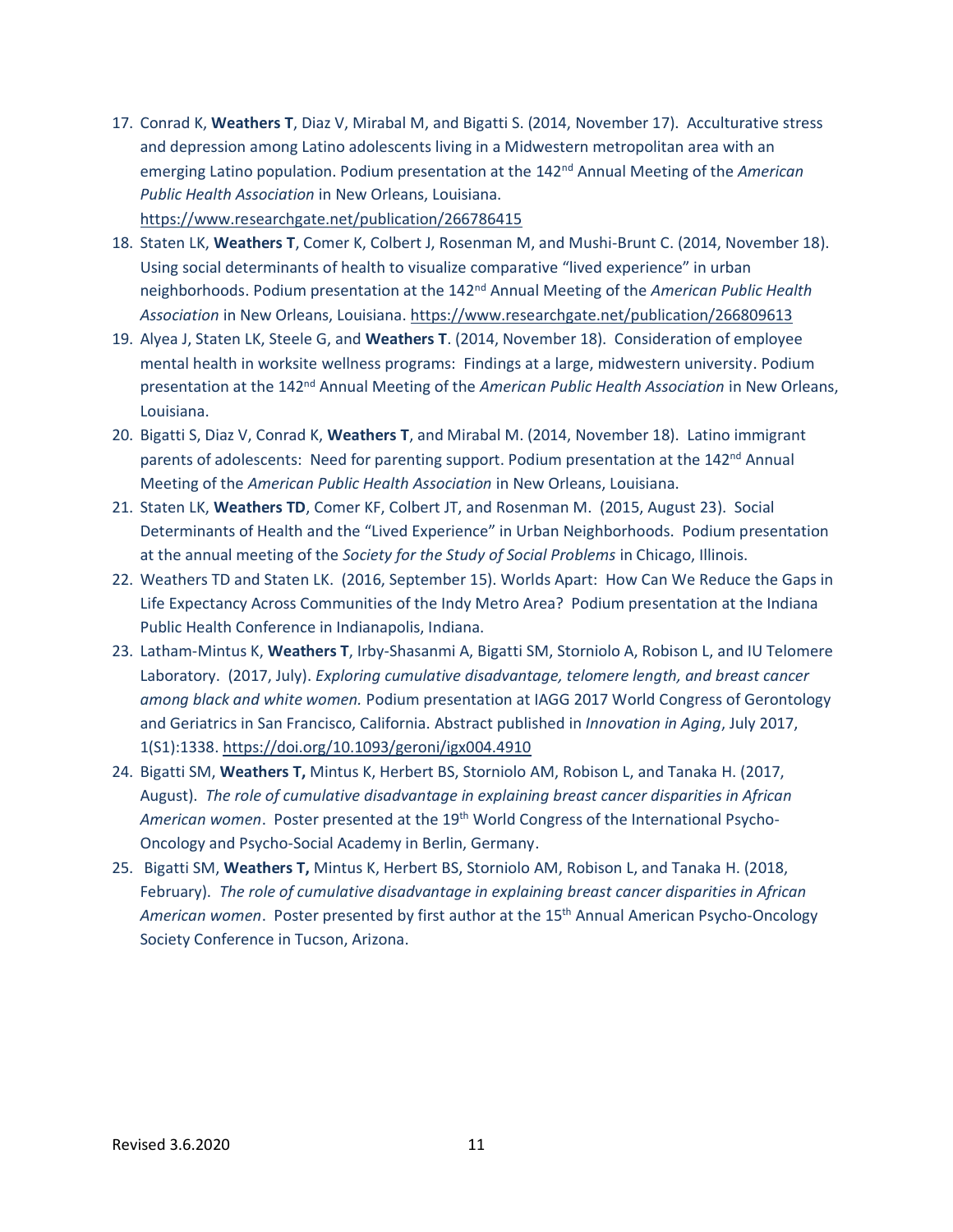- 17. Conrad K, **Weathers T**, Diaz V, Mirabal M, and Bigatti S. (2014, November 17). Acculturative stress and depression among Latino adolescents living in a Midwestern metropolitan area with an emerging Latino population. Podium presentation at the 142<sup>nd</sup> Annual Meeting of the American *Public Health Association* in New Orleans, Louisiana. <https://www.researchgate.net/publication/266786415>
- 18. Staten LK, **Weathers T**, Comer K, Colbert J, Rosenman M, and Mushi-Brunt C. (2014, November 18). Using social determinants of health to visualize comparative "lived experience" in urban neighborhoods. Podium presentation at the 142nd Annual Meeting of the *American Public Health Association* in New Orleans, Louisiana. <https://www.researchgate.net/publication/266809613>
- 19. Alyea J, Staten LK, Steele G, and **Weathers T**. (2014, November 18). Consideration of employee mental health in worksite wellness programs: Findings at a large, midwestern university. Podium presentation at the 142nd Annual Meeting of the *American Public Health Association* in New Orleans, Louisiana.
- 20. Bigatti S, Diaz V, Conrad K, **Weathers T**, and Mirabal M. (2014, November 18). Latino immigrant parents of adolescents: Need for parenting support. Podium presentation at the  $142<sup>nd</sup>$  Annual Meeting of the *American Public Health Association* in New Orleans, Louisiana.
- 21. Staten LK, **Weathers TD**, Comer KF, Colbert JT, and Rosenman M. (2015, August 23). Social Determinants of Health and the "Lived Experience" in Urban Neighborhoods. Podium presentation at the annual meeting of the *Society for the Study of Social Problems* in Chicago, Illinois.
- 22. Weathers TD and Staten LK. (2016, September 15). Worlds Apart: How Can We Reduce the Gaps in Life Expectancy Across Communities of the Indy Metro Area? Podium presentation at the Indiana Public Health Conference in Indianapolis, Indiana.
- 23. Latham-Mintus K, **Weathers T**, Irby-Shasanmi A, Bigatti SM, Storniolo A, Robison L, and IU Telomere Laboratory. (2017, July). *Exploring cumulative disadvantage, telomere length, and breast cancer among black and white women.* Podium presentation at IAGG 2017 World Congress of Gerontology and Geriatrics in San Francisco, California. Abstract published in *Innovation in Aging*, July 2017, 1(S1):1338. <https://doi.org/10.1093/geroni/igx004.4910>
- 24. Bigatti SM, **Weathers T,** Mintus K, Herbert BS, Storniolo AM, Robison L, and Tanaka H. (2017, August). *The role of cumulative disadvantage in explaining breast cancer disparities in African American women*. Poster presented at the 19th World Congress of the International Psycho-Oncology and Psycho-Social Academy in Berlin, Germany.
- 25. Bigatti SM, **Weathers T,** Mintus K, Herbert BS, Storniolo AM, Robison L, and Tanaka H. (2018, February). *The role of cumulative disadvantage in explaining breast cancer disparities in African American women*. Poster presented by first author at the 15th Annual American Psycho-Oncology Society Conference in Tucson, Arizona.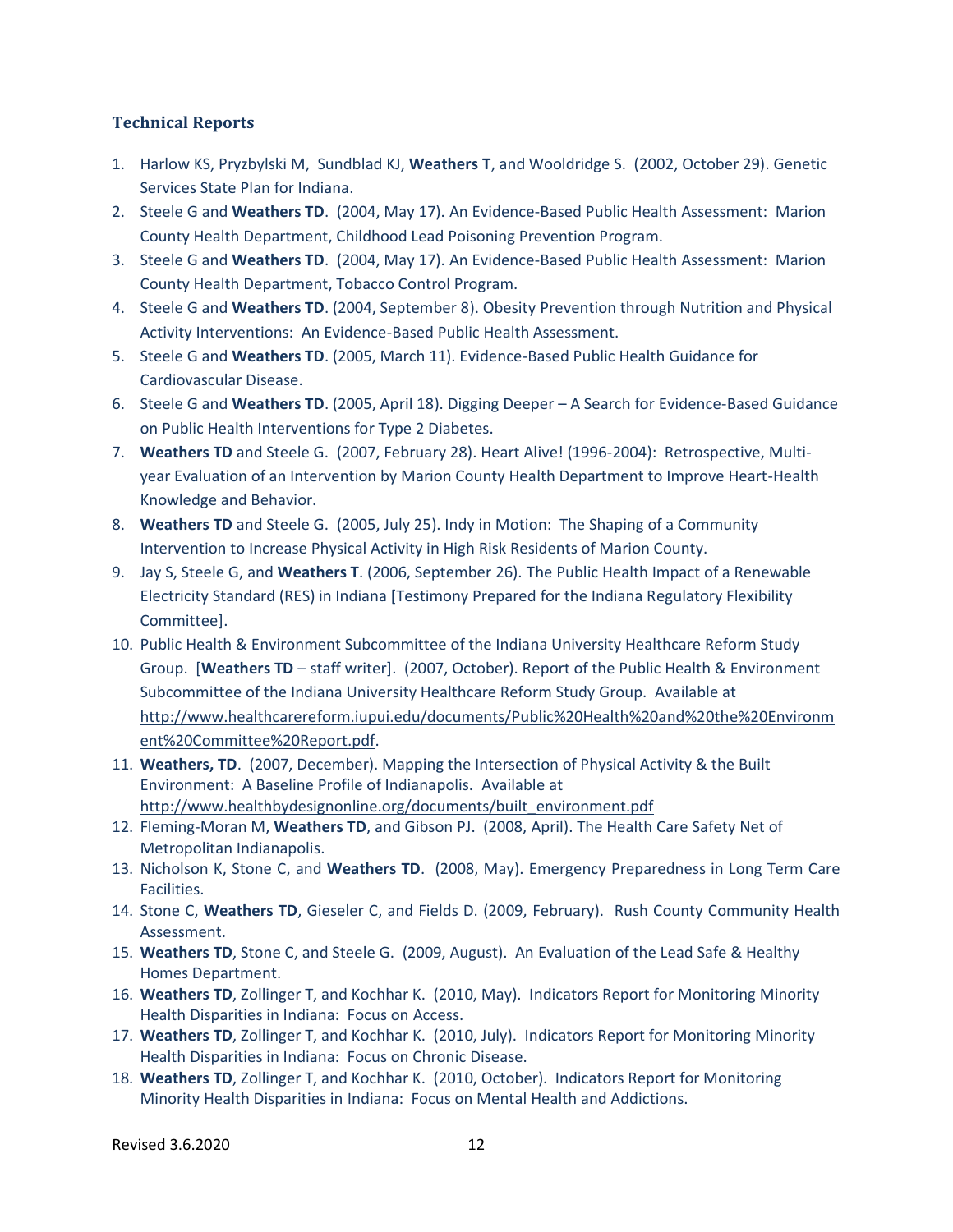### **Technical Reports**

- 1. Harlow KS, Pryzbylski M, Sundblad KJ, **Weathers T**, and Wooldridge S. (2002, October 29). Genetic Services State Plan for Indiana.
- 2. Steele G and **Weathers TD**. (2004, May 17). An Evidence-Based Public Health Assessment: Marion County Health Department, Childhood Lead Poisoning Prevention Program.
- 3. Steele G and **Weathers TD**. (2004, May 17). An Evidence-Based Public Health Assessment: Marion County Health Department, Tobacco Control Program.
- 4. Steele G and **Weathers TD**. (2004, September 8). Obesity Prevention through Nutrition and Physical Activity Interventions: An Evidence-Based Public Health Assessment.
- 5. Steele G and **Weathers TD**. (2005, March 11). Evidence-Based Public Health Guidance for Cardiovascular Disease.
- 6. Steele G and **Weathers TD**. (2005, April 18). Digging Deeper A Search for Evidence-Based Guidance on Public Health Interventions for Type 2 Diabetes.
- 7. **Weathers TD** and Steele G. (2007, February 28). Heart Alive! (1996-2004): Retrospective, Multiyear Evaluation of an Intervention by Marion County Health Department to Improve Heart-Health Knowledge and Behavior.
- 8. **Weathers TD** and Steele G. (2005, July 25). Indy in Motion: The Shaping of a Community Intervention to Increase Physical Activity in High Risk Residents of Marion County.
- 9. Jay S, Steele G, and **Weathers T**. (2006, September 26). The Public Health Impact of a Renewable Electricity Standard (RES) in Indiana [Testimony Prepared for the Indiana Regulatory Flexibility Committee].
- 10. Public Health & Environment Subcommittee of the Indiana University Healthcare Reform Study Group. [**Weathers TD** – staff writer]. (2007, October). Report of the Public Health & Environment Subcommittee of the Indiana University Healthcare Reform Study Group. Available at [http://www.healthcarereform.iupui.edu/documents/Public%20Health%20and%20the%20Environm](http://www.healthcarereform.iupui.edu/documents/Public%20Health%20and%20the%20Environment%20Committee%20Report.pdf) [ent%20Committee%20Report.pdf.](http://www.healthcarereform.iupui.edu/documents/Public%20Health%20and%20the%20Environment%20Committee%20Report.pdf)
- 11. **Weathers, TD**. (2007, December). Mapping the Intersection of Physical Activity & the Built Environment: A Baseline Profile of Indianapolis. Available at [http://www.healthbydesignonline.org/documents/built\\_environment.pdf](http://www.healthbydesignonline.org/documents/built_environment.pdf)
- 12. Fleming-Moran M, **Weathers TD**, and Gibson PJ. (2008, April). The Health Care Safety Net of Metropolitan Indianapolis.
- 13. Nicholson K, Stone C, and **Weathers TD**. (2008, May). Emergency Preparedness in Long Term Care Facilities.
- 14. Stone C, **Weathers TD**, Gieseler C, and Fields D. (2009, February). Rush County Community Health Assessment.
- 15. **Weathers TD**, Stone C, and Steele G. (2009, August). An Evaluation of the Lead Safe & Healthy Homes Department.
- 16. **Weathers TD**, Zollinger T, and Kochhar K. (2010, May). Indicators Report for Monitoring Minority Health Disparities in Indiana: Focus on Access.
- 17. **Weathers TD**, Zollinger T, and Kochhar K. (2010, July). Indicators Report for Monitoring Minority Health Disparities in Indiana: Focus on Chronic Disease.
- 18. **Weathers TD**, Zollinger T, and Kochhar K. (2010, October). Indicators Report for Monitoring Minority Health Disparities in Indiana: Focus on Mental Health and Addictions.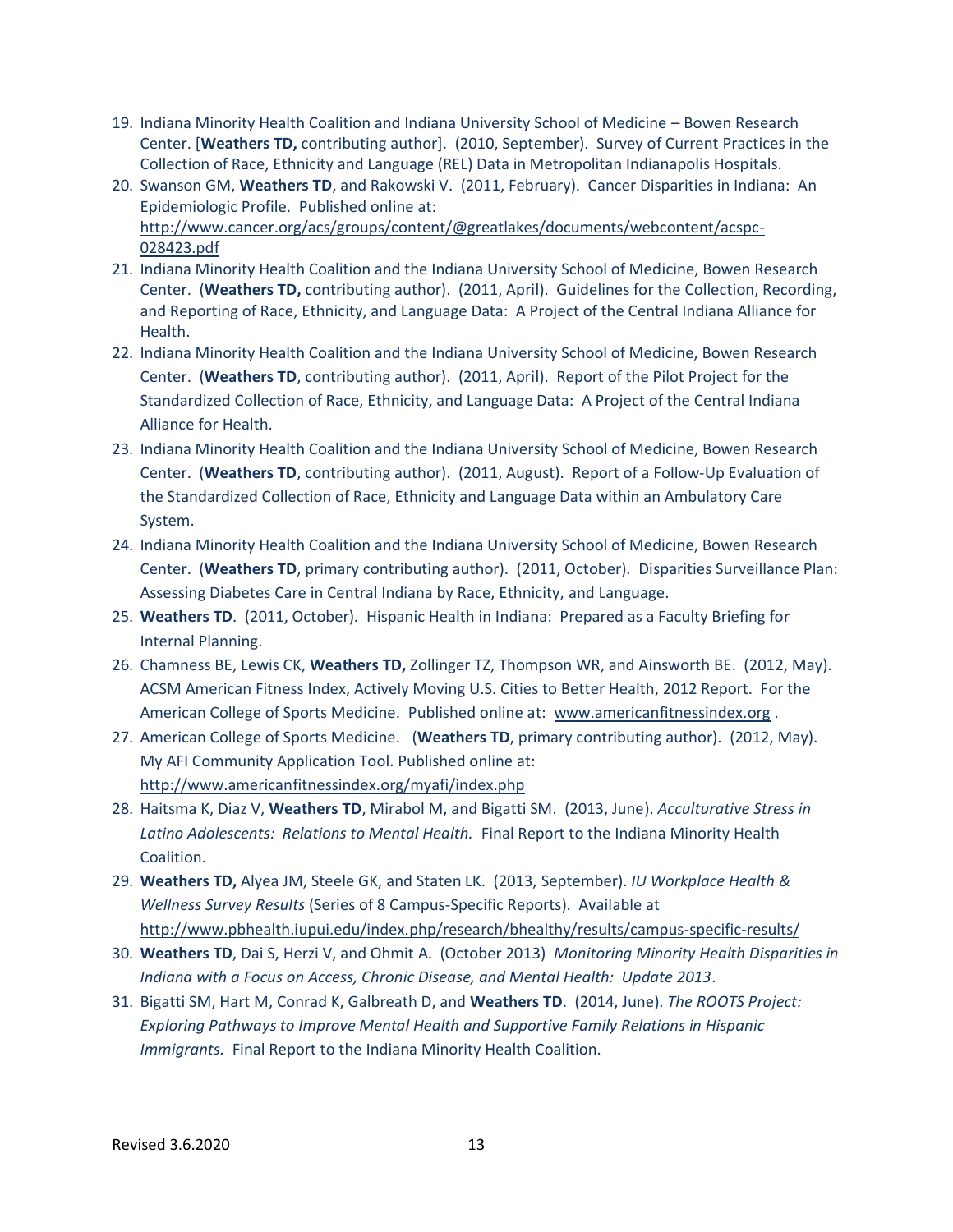- 19. Indiana Minority Health Coalition and Indiana University School of Medicine Bowen Research Center. [**Weathers TD,** contributing author]. (2010, September). Survey of Current Practices in the Collection of Race, Ethnicity and Language (REL) Data in Metropolitan Indianapolis Hospitals.
- 20. Swanson GM, **Weathers TD**, and Rakowski V. (2011, February).Cancer Disparities in Indiana: An Epidemiologic Profile. Published online at: [http://www.cancer.org/acs/groups/content/@greatlakes/documents/webcontent/acspc-](http://www.cancer.org/acs/groups/content/@greatlakes/documents/webcontent/acspc-028423.pdf)[028423.pdf](http://www.cancer.org/acs/groups/content/@greatlakes/documents/webcontent/acspc-028423.pdf)
- 21. Indiana Minority Health Coalition and the Indiana University School of Medicine, Bowen Research Center. (**Weathers TD,** contributing author). (2011, April). Guidelines for the Collection, Recording, and Reporting of Race, Ethnicity, and Language Data: A Project of the Central Indiana Alliance for Health.
- 22. Indiana Minority Health Coalition and the Indiana University School of Medicine, Bowen Research Center. (**Weathers TD**, contributing author). (2011, April). Report of the Pilot Project for the Standardized Collection of Race, Ethnicity, and Language Data: A Project of the Central Indiana Alliance for Health.
- 23. Indiana Minority Health Coalition and the Indiana University School of Medicine, Bowen Research Center. (**Weathers TD**, contributing author). (2011, August). Report of a Follow-Up Evaluation of the Standardized Collection of Race, Ethnicity and Language Data within an Ambulatory Care System.
- 24. Indiana Minority Health Coalition and the Indiana University School of Medicine, Bowen Research Center. (**Weathers TD**, primary contributing author). (2011, October). Disparities Surveillance Plan: Assessing Diabetes Care in Central Indiana by Race, Ethnicity, and Language.
- 25. **Weathers TD**. (2011, October). Hispanic Health in Indiana: Prepared as a Faculty Briefing for Internal Planning.
- 26. Chamness BE, Lewis CK, **Weathers TD,** Zollinger TZ, Thompson WR, and Ainsworth BE. (2012, May). ACSM American Fitness Index, Actively Moving U.S. Cities to Better Health, 2012 Report. For the American College of Sports Medicine. Published online at: [www.americanfitnessindex.org](http://www.americanfitnessindex.org/) .
- 27. American College of Sports Medicine. (**Weathers TD**, primary contributing author). (2012, May). My AFI Community Application Tool. Published online at: <http://www.americanfitnessindex.org/myafi/index.php>
- 28. Haitsma K, Diaz V, **Weathers TD**, Mirabol M, and Bigatti SM. (2013, June). *Acculturative Stress in Latino Adolescents: Relations to Mental Health.* Final Report to the Indiana Minority Health Coalition.
- 29. **Weathers TD,** Alyea JM, Steele GK, and Staten LK. (2013, September). *IU Workplace Health & Wellness Survey Results* (Series of 8 Campus-Specific Reports). Available at <http://www.pbhealth.iupui.edu/index.php/research/bhealthy/results/campus-specific-results/>
- 30. **Weathers TD**, Dai S, Herzi V, and Ohmit A. (October 2013) *Monitoring Minority Health Disparities in Indiana with a Focus on Access, Chronic Disease, and Mental Health: Update 2013*.
- 31. Bigatti SM, Hart M, Conrad K, Galbreath D, and **Weathers TD**. (2014, June). *The ROOTS Project: Exploring Pathways to Improve Mental Health and Supportive Family Relations in Hispanic Immigrants.* Final Report to the Indiana Minority Health Coalition.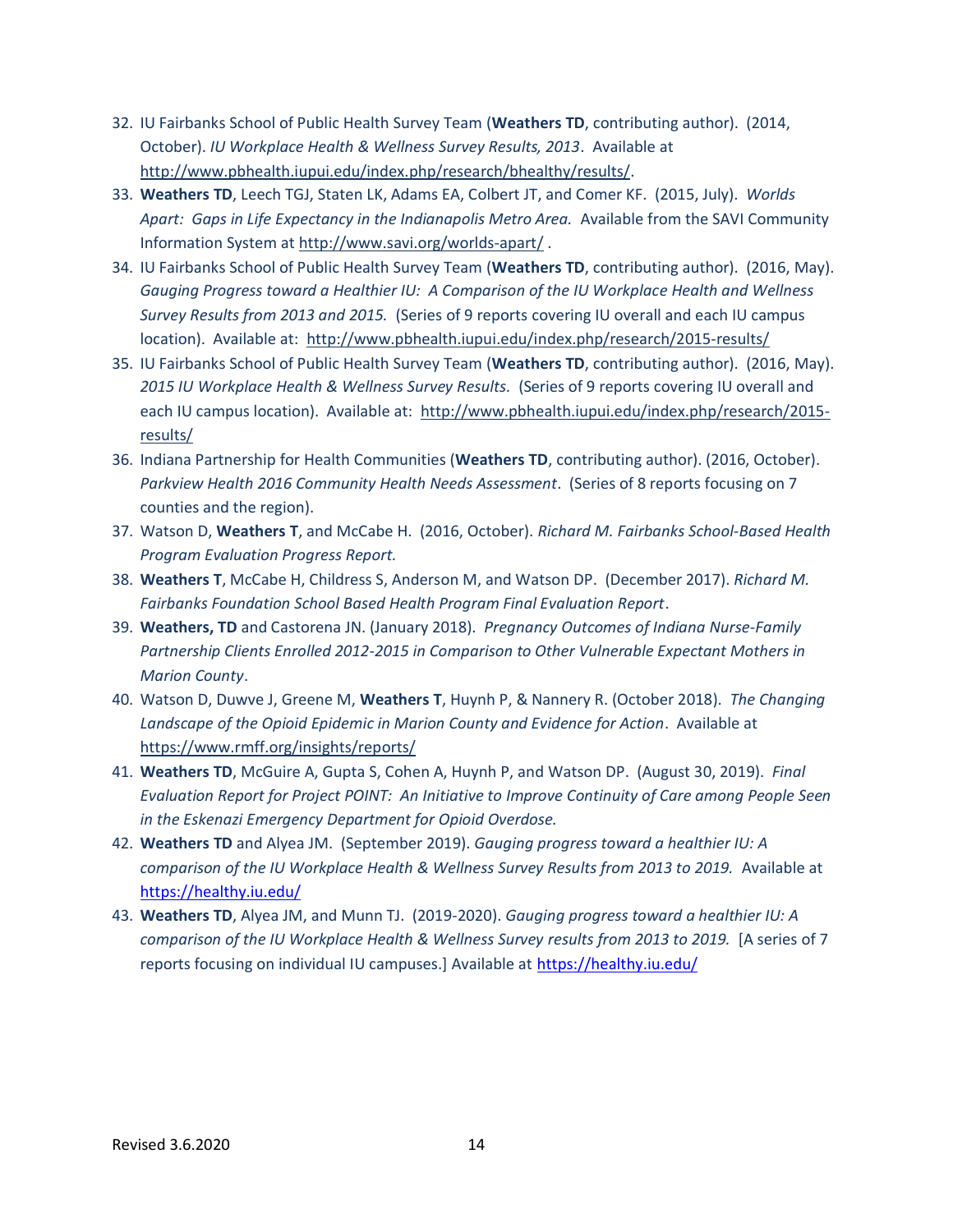- 32. IU Fairbanks School of Public Health Survey Team (**Weathers TD**, contributing author). (2014, October). *IU Workplace Health & Wellness Survey Results, 2013*. Available at [http://www.pbhealth.iupui.edu/index.php/research/bhealthy/results/.](http://www.pbhealth.iupui.edu/index.php/research/bhealthy/results/)
- 33. **Weathers TD**, Leech TGJ, Staten LK, Adams EA, Colbert JT, and Comer KF. (2015, July). *Worlds*  Apart: Gaps in Life Expectancy in the Indianapolis Metro Area. Available from the SAVI Community Information System at<http://www.savi.org/worlds-apart/> .
- 34. IU Fairbanks School of Public Health Survey Team (**Weathers TD**, contributing author). (2016, May). *Gauging Progress toward a Healthier IU: A Comparison of the IU Workplace Health and Wellness Survey Results from 2013 and 2015.* (Series of 9 reports covering IU overall and each IU campus location). Available at: <http://www.pbhealth.iupui.edu/index.php/research/2015-results/>
- 35. IU Fairbanks School of Public Health Survey Team (**Weathers TD**, contributing author). (2016, May). *2015 IU Workplace Health & Wellness Survey Results.* (Series of 9 reports covering IU overall and each IU campus location). Available at: [http://www.pbhealth.iupui.edu/index.php/research/2015](http://www.pbhealth.iupui.edu/index.php/research/2015-results/) [results/](http://www.pbhealth.iupui.edu/index.php/research/2015-results/)
- 36. Indiana Partnership for Health Communities (**Weathers TD**, contributing author). (2016, October). *Parkview Health 2016 Community Health Needs Assessment*. (Series of 8 reports focusing on 7 counties and the region).
- 37. Watson D, **Weathers T**, and McCabe H. (2016, October). *Richard M. Fairbanks School-Based Health Program Evaluation Progress Report.*
- 38. **Weathers T**, McCabe H, Childress S, Anderson M, and Watson DP. (December 2017). *Richard M. Fairbanks Foundation School Based Health Program Final Evaluation Report*.
- 39. **Weathers, TD** and Castorena JN. (January 2018). *Pregnancy Outcomes of Indiana Nurse-Family Partnership Clients Enrolled 2012-2015 in Comparison to Other Vulnerable Expectant Mothers in Marion County*.
- 40. Watson D, Duwve J, Greene M, **Weathers T**, Huynh P, & Nannery R. (October 2018). *The Changing Landscape of the Opioid Epidemic in Marion County and Evidence for Action*. Available at <https://www.rmff.org/insights/reports/>
- 41. **Weathers TD**, McGuire A, Gupta S, Cohen A, Huynh P, and Watson DP. (August 30, 2019). *Final Evaluation Report for Project POINT: An Initiative to Improve Continuity of Care among People Seen in the Eskenazi Emergency Department for Opioid Overdose.*
- 42. **Weathers TD** and Alyea JM. (September 2019). *Gauging progress toward a healthier IU: A comparison of the IU Workplace Health & Wellness Survey Results from 2013 to 2019.* Available at <https://healthy.iu.edu/>
- 43. **Weathers TD**, Alyea JM, and Munn TJ. (2019-2020). *Gauging progress toward a healthier IU: A comparison of the IU Workplace Health & Wellness Survey results from 2013 to 2019.* [A series of 7 reports focusing on individual IU campuses.] Available at<https://healthy.iu.edu/>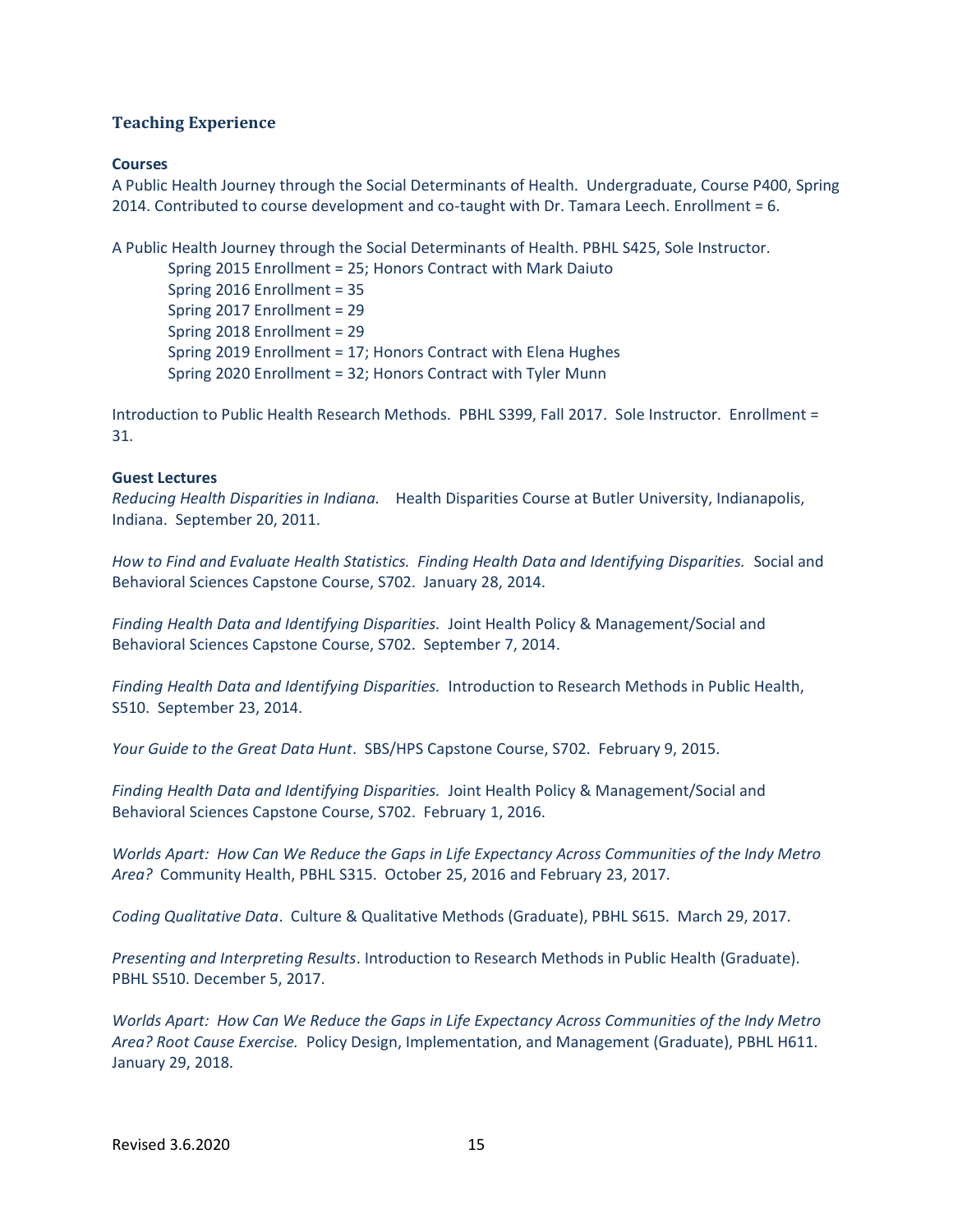### **Teaching Experience**

#### **Courses**

A Public Health Journey through the Social Determinants of Health. Undergraduate, Course P400, Spring 2014. Contributed to course development and co-taught with Dr. Tamara Leech. Enrollment = 6.

A Public Health Journey through the Social Determinants of Health. PBHL S425, Sole Instructor.

Spring 2015 Enrollment = 25; Honors Contract with Mark Daiuto Spring 2016 Enrollment = 35 Spring 2017 Enrollment = 29 Spring 2018 Enrollment = 29 Spring 2019 Enrollment = 17; Honors Contract with Elena Hughes Spring 2020 Enrollment = 32; Honors Contract with Tyler Munn

Introduction to Public Health Research Methods. PBHL S399, Fall 2017. Sole Instructor. Enrollment = 31.

#### **Guest Lectures**

*Reducing Health Disparities in Indiana.* Health Disparities Course at Butler University, Indianapolis, Indiana. September 20, 2011.

*How to Find and Evaluate Health Statistics. Finding Health Data and Identifying Disparities.* Social and Behavioral Sciences Capstone Course, S702. January 28, 2014.

*Finding Health Data and Identifying Disparities.* Joint Health Policy & Management/Social and Behavioral Sciences Capstone Course, S702. September 7, 2014.

*Finding Health Data and Identifying Disparities.* Introduction to Research Methods in Public Health, S510. September 23, 2014.

*Your Guide to the Great Data Hunt*. SBS/HPS Capstone Course, S702. February 9, 2015.

*Finding Health Data and Identifying Disparities.* Joint Health Policy & Management/Social and Behavioral Sciences Capstone Course, S702. February 1, 2016.

*Worlds Apart: How Can We Reduce the Gaps in Life Expectancy Across Communities of the Indy Metro Area?* Community Health, PBHL S315. October 25, 2016 and February 23, 2017.

*Coding Qualitative Data*. Culture & Qualitative Methods (Graduate), PBHL S615. March 29, 2017.

*Presenting and Interpreting Results*. Introduction to Research Methods in Public Health (Graduate). PBHL S510. December 5, 2017.

*Worlds Apart: How Can We Reduce the Gaps in Life Expectancy Across Communities of the Indy Metro Area? Root Cause Exercise.* Policy Design, Implementation, and Management (Graduate), PBHL H611. January 29, 2018.